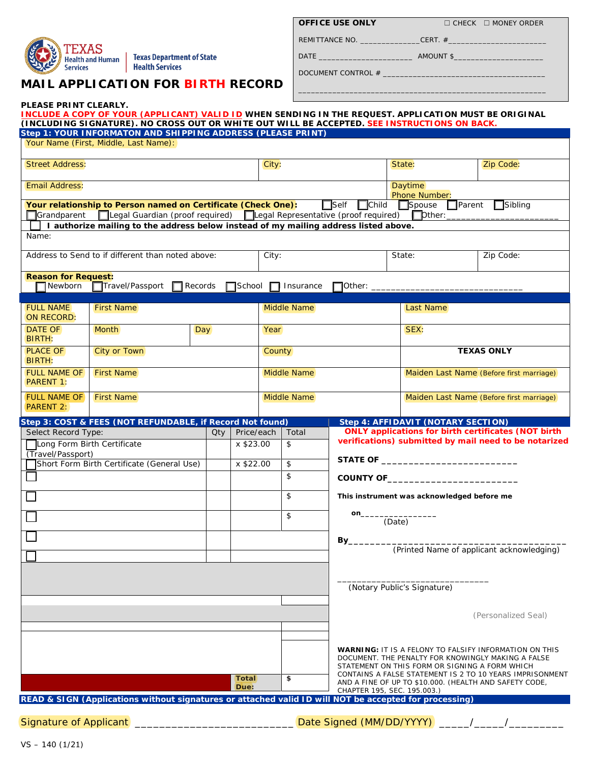

**PLEASE PRINT CLEARLY.** 

Texas Department of State Health Services

# **MAIL APPLICATION FOR BIRTH RECORD**

| <b>OFFICE USE ONLY</b> |
|------------------------|
|------------------------|

REMITTANCE NO. \_\_\_\_\_\_\_\_\_\_\_\_\_\_CERT. #\_\_\_\_\_\_\_\_\_\_\_\_\_\_\_\_\_\_\_\_\_\_\_

**OFFICE USE ONLY** □ CHECK □ MONEY ORDER

\_\_\_\_\_\_\_\_\_\_\_\_\_\_\_\_\_\_\_\_\_\_\_\_\_\_\_\_\_\_\_\_\_\_\_\_\_\_\_\_\_\_\_\_\_\_\_\_\_\_\_\_\_\_\_\_\_\_

DATE \_\_\_\_\_\_\_\_\_\_\_\_\_\_\_\_\_\_\_\_\_\_ AMOUNT \$\_\_\_\_\_\_\_\_\_\_\_\_\_\_\_\_\_\_\_\_\_

DOCUMENT CONTROL  $#$   $\_\_$ 

|                                                                         | INCLUDE A COPY OF YOUR (APPLICANT) VALID ID WHEN SENDING IN THE REQUEST. APPLICATION MUST BE ORIGINAL<br>(INCLUDING SIGNATURE). NO CROSS OUT OR WHITE OUT WILL BE ACCEPTED. SEE INSTRUCTIONS ON BACK.<br>Step 1: YOUR INFORMATON AND SHIPPING ADDRESS (PLEASE PRINT) |         |                      |                           |                                                  |                             |                             |                                                    |                                                                                                                     |  |
|-------------------------------------------------------------------------|----------------------------------------------------------------------------------------------------------------------------------------------------------------------------------------------------------------------------------------------------------------------|---------|----------------------|---------------------------|--------------------------------------------------|-----------------------------|-----------------------------|----------------------------------------------------|---------------------------------------------------------------------------------------------------------------------|--|
|                                                                         | Your Name (First, Middle, Last Name):                                                                                                                                                                                                                                |         |                      |                           |                                                  |                             |                             |                                                    |                                                                                                                     |  |
| <b>Street Address:</b>                                                  |                                                                                                                                                                                                                                                                      |         |                      | City:                     |                                                  |                             |                             | State:                                             | Zip Code:                                                                                                           |  |
| <b>Email Address:</b>                                                   |                                                                                                                                                                                                                                                                      |         |                      |                           |                                                  |                             | <b>Daytime</b>              |                                                    |                                                                                                                     |  |
|                                                                         | Your relationship to Person named on Certificate (Check One):                                                                                                                                                                                                        |         |                      |                           |                                                  | $\Box$ Self                 |                             | Phone Number:<br>□ Child □ Spouse<br>$\Box$ Parent | $\Box$ Sibling                                                                                                      |  |
| Grandparent                                                             | [Legal Guardian (proof required) [Legal Representative (proof required) [Dther:<br>I authorize mailing to the address below instead of my mailing address listed above.                                                                                              |         |                      |                           |                                                  |                             |                             |                                                    |                                                                                                                     |  |
| Name:                                                                   |                                                                                                                                                                                                                                                                      |         |                      |                           |                                                  |                             |                             |                                                    |                                                                                                                     |  |
| Address to Send to if different than noted above:                       |                                                                                                                                                                                                                                                                      |         |                      | City:                     |                                                  |                             |                             | State:<br>Zip Code:                                |                                                                                                                     |  |
| <b>Reason for Request:</b><br>$\Box$ Newborn                            | □Travel/Passport                                                                                                                                                                                                                                                     | Records | $\Box$ School        |                           | $\Box$ Insurance                                 | $\Box$ Other: $\_$          |                             |                                                    |                                                                                                                     |  |
| <b>FULL NAME</b><br><b>ON RECORD:</b>                                   | <b>First Name</b>                                                                                                                                                                                                                                                    |         |                      | Middle Name               |                                                  |                             |                             | Last Name                                          |                                                                                                                     |  |
| <b>DATE OF</b><br><b>BIRTH:</b>                                         | <b>Month</b><br>Day                                                                                                                                                                                                                                                  |         |                      | Year                      |                                                  |                             |                             | SEX:                                               |                                                                                                                     |  |
| <b>PLACE OF</b><br>BIRTH:                                               | City or Town                                                                                                                                                                                                                                                         |         |                      | County                    |                                                  |                             |                             | <b>TEXAS ONLY</b>                                  |                                                                                                                     |  |
| <b>FULL NAME OF</b><br><b>PARENT 1:</b>                                 | <b>First Name</b>                                                                                                                                                                                                                                                    |         |                      | Middle Name               |                                                  |                             |                             | Maiden Last Name (Before first marriage)           |                                                                                                                     |  |
| <b>FULL NAME OF</b><br>PARENT 2:                                        | <b>First Name</b>                                                                                                                                                                                                                                                    |         |                      |                           | Middle Name                                      |                             |                             | Maiden Last Name (Before first marriage)           |                                                                                                                     |  |
|                                                                         | Step 3: COST & FEES (NOT REFUNDABLE, if Record Not found)                                                                                                                                                                                                            |         |                      |                           |                                                  |                             |                             | Step 4: AFFIDAVIT (NOTARY SECTION)                 |                                                                                                                     |  |
| Select Record Type:<br>Qty.<br>Long Form Birth Certificate<br>x \$23.00 |                                                                                                                                                                                                                                                                      |         |                      | Price/each<br>Total<br>\$ |                                                  |                             |                             |                                                    | <b>ONLY applications for birth certificates (NOT birth</b><br>verifications) submitted by mail need to be notarized |  |
| (Travel/Passport)<br>Short Form Birth Certificate (General Use)         |                                                                                                                                                                                                                                                                      |         | x \$22.00            | \$                        |                                                  | STATE OF $\qquad \qquad$    |                             |                                                    |                                                                                                                     |  |
|                                                                         |                                                                                                                                                                                                                                                                      |         |                      |                           | \$                                               |                             |                             | COUNTY OF                                          |                                                                                                                     |  |
|                                                                         |                                                                                                                                                                                                                                                                      |         |                      |                           | \$<br>This instrument was acknowledged before me |                             |                             |                                                    |                                                                                                                     |  |
|                                                                         |                                                                                                                                                                                                                                                                      |         |                      |                           | \$                                               | on_                         | (Date)                      |                                                    |                                                                                                                     |  |
|                                                                         |                                                                                                                                                                                                                                                                      |         |                      |                           |                                                  |                             | By_                         |                                                    |                                                                                                                     |  |
|                                                                         |                                                                                                                                                                                                                                                                      |         |                      |                           |                                                  |                             |                             |                                                    | (Printed Name of applicant acknowledging)                                                                           |  |
|                                                                         |                                                                                                                                                                                                                                                                      |         |                      |                           |                                                  |                             |                             |                                                    |                                                                                                                     |  |
|                                                                         |                                                                                                                                                                                                                                                                      |         |                      |                           |                                                  |                             | (Notary Public's Signature) |                                                    |                                                                                                                     |  |
|                                                                         |                                                                                                                                                                                                                                                                      |         |                      |                           |                                                  |                             |                             |                                                    | (Personalized Seal)                                                                                                 |  |
|                                                                         |                                                                                                                                                                                                                                                                      |         |                      |                           |                                                  |                             |                             | STATEMENT ON THIS FORM OR SIGNING A FORM WHICH     | <b>WARNING: IT IS A FELONY TO FALSIFY INFORMATION ON THIS</b><br>DOCUMENT. THE PENALTY FOR KNOWINGLY MAKING A FALSE |  |
|                                                                         |                                                                                                                                                                                                                                                                      |         | <b>Total</b><br>Due: |                           | \$                                               | CHAPTER 195, SEC. 195.003.) |                             |                                                    | CONTAINS A FALSE STATEMENT IS 2 TO 10 YEARS IMPRISONMENT<br>AND A FINE OF UP TO \$10.000. (HEALTH AND SAFETY CODE,  |  |
|                                                                         | READ & SIGN (Applications without signatures or attached valid ID will NOT be accepted for processing)                                                                                                                                                               |         |                      |                           |                                                  |                             |                             |                                                    |                                                                                                                     |  |
| <b>Signature of Applicant</b>                                           |                                                                                                                                                                                                                                                                      |         |                      |                           |                                                  | Date Signed (MM/DD/YYYY)    |                             |                                                    |                                                                                                                     |  |